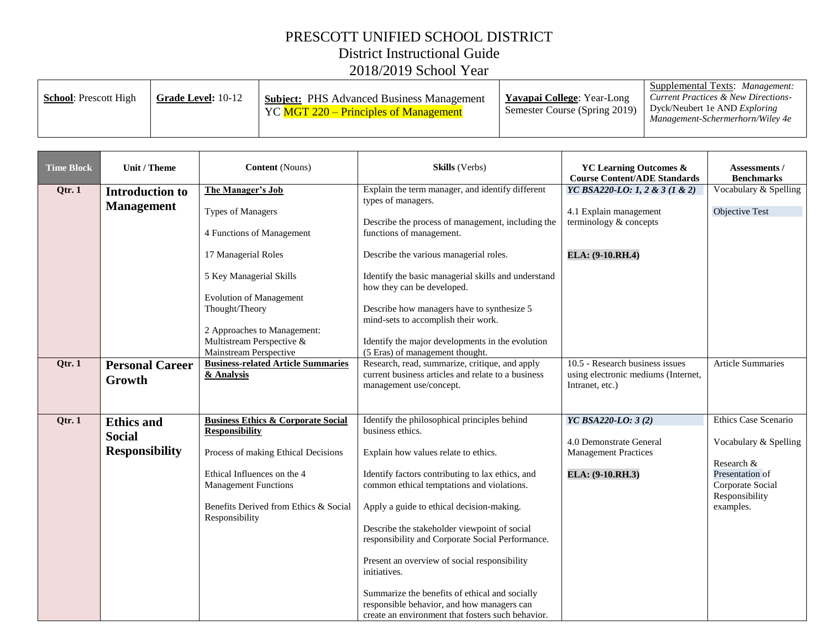## PRESCOTT UNIFIED SCHOOL DISTRICT District Instructional Guide 2018/2019 School Year

| <b>School:</b> Prescott High | <b>Grade Level: 10-12</b> | <b>Subject: PHS Advanced Business Management</b><br>$\frac{1}{2}$ YC MGT 220 – Principles of Management | <b>Yavapai College: Year-Long</b><br>Semester Course (Spring 2019) | Supplemental Texts: Management:<br><b>Current Practices &amp; New Directions-</b><br>Dyck/Neubert 1e AND <i>Exploring</i><br>Management-Schermerhorn/Wiley 4e |
|------------------------------|---------------------------|---------------------------------------------------------------------------------------------------------|--------------------------------------------------------------------|---------------------------------------------------------------------------------------------------------------------------------------------------------------|
|                              |                           |                                                                                                         |                                                                    |                                                                                                                                                               |

| <b>Time Block</b> | Unit / Theme                                | <b>Content</b> (Nouns)                                                             | Skills (Verbs)                                                                                                                                    | <b>YC Learning Outcomes &amp;</b><br><b>Course Content/ADE Standards</b>                  | Assessments /<br><b>Benchmarks</b>                    |
|-------------------|---------------------------------------------|------------------------------------------------------------------------------------|---------------------------------------------------------------------------------------------------------------------------------------------------|-------------------------------------------------------------------------------------------|-------------------------------------------------------|
| Qtr. 1            | <b>Introduction to</b><br><b>Management</b> | The Manager's Job<br><b>Types of Managers</b>                                      | Explain the term manager, and identify different<br>types of managers.                                                                            | YC BSA220-LO: 1, 2 & 3 (1 & 2)<br>4.1 Explain management                                  | Vocabulary & Spelling<br>Objective Test               |
|                   |                                             | 4 Functions of Management                                                          | Describe the process of management, including the<br>functions of management.                                                                     | terminology & concepts                                                                    |                                                       |
|                   |                                             | 17 Managerial Roles                                                                | Describe the various managerial roles.                                                                                                            | ELA: (9-10.RH.4)                                                                          |                                                       |
|                   |                                             | 5 Key Managerial Skills                                                            | Identify the basic managerial skills and understand<br>how they can be developed.                                                                 |                                                                                           |                                                       |
|                   |                                             | <b>Evolution of Management</b><br>Thought/Theory                                   | Describe how managers have to synthesize 5<br>mind-sets to accomplish their work.                                                                 |                                                                                           |                                                       |
|                   |                                             | 2 Approaches to Management:<br>Multistream Perspective &<br>Mainstream Perspective | Identify the major developments in the evolution<br>(5 Eras) of management thought.                                                               |                                                                                           |                                                       |
| Qtr.1             | <b>Personal Career</b><br>Growth            | <b>Business-related Article Summaries</b><br>& Analysis                            | Research, read, summarize, critique, and apply<br>current business articles and relate to a business<br>management use/concept.                   | 10.5 - Research business issues<br>using electronic mediums (Internet,<br>Intranet, etc.) | <b>Article Summaries</b>                              |
| Qtr. 1            | <b>Ethics and</b>                           | <b>Business Ethics &amp; Corporate Social</b><br><b>Responsibility</b>             | Identify the philosophical principles behind<br>business ethics.                                                                                  | YC BSA220-LO: 3 (2)                                                                       | Ethics Case Scenario                                  |
|                   | Social<br><b>Responsibility</b>             | Process of making Ethical Decisions                                                | Explain how values relate to ethics.                                                                                                              | 4.0 Demonstrate General<br><b>Management Practices</b>                                    | Vocabulary & Spelling<br>Research &                   |
|                   |                                             | Ethical Influences on the 4<br><b>Management Functions</b>                         | Identify factors contributing to lax ethics, and<br>common ethical temptations and violations.                                                    | ELA: (9-10.RH.3)                                                                          | Presentation of<br>Corporate Social<br>Responsibility |
|                   |                                             | Benefits Derived from Ethics & Social<br>Responsibility                            | Apply a guide to ethical decision-making.                                                                                                         |                                                                                           | examples.                                             |
|                   |                                             |                                                                                    | Describe the stakeholder viewpoint of social<br>responsibility and Corporate Social Performance.                                                  |                                                                                           |                                                       |
|                   |                                             |                                                                                    | Present an overview of social responsibility<br>initiatives.                                                                                      |                                                                                           |                                                       |
|                   |                                             |                                                                                    | Summarize the benefits of ethical and socially<br>responsible behavior, and how managers can<br>create an environment that fosters such behavior. |                                                                                           |                                                       |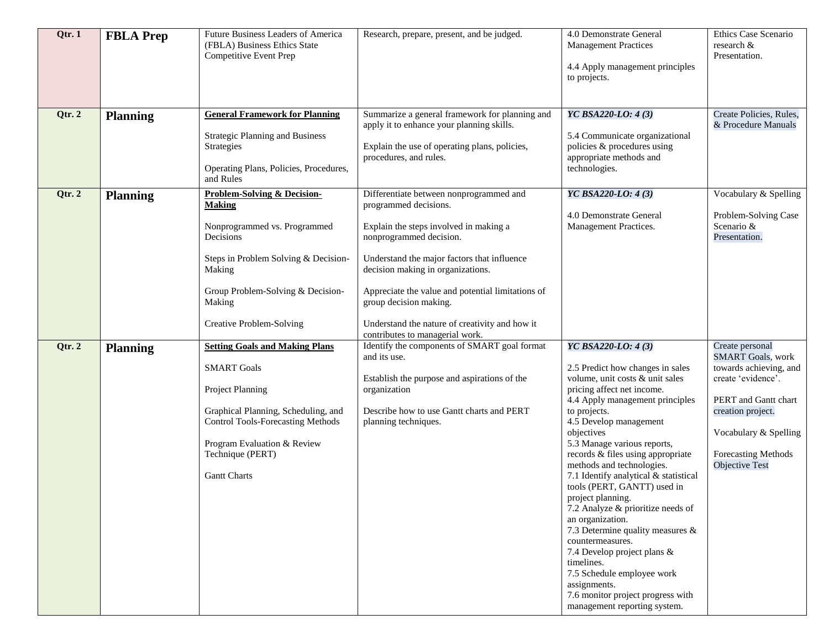| Qtr. 1 | <b>FBLA Prep</b> | Future Business Leaders of America<br>(FBLA) Business Ethics State<br>Competitive Event Prep                                                                                                                                                 | Research, prepare, present, and be judged.                                                                                                                                                                                                                                                                                                                                                    | 4.0 Demonstrate General<br><b>Management Practices</b><br>4.4 Apply management principles<br>to projects.                                                                                                                                                                                                                                                                                                                                                                                                                                                                                                                                                                                         | Ethics Case Scenario<br>research $\&$<br>Presentation.                                                                                                                                                             |
|--------|------------------|----------------------------------------------------------------------------------------------------------------------------------------------------------------------------------------------------------------------------------------------|-----------------------------------------------------------------------------------------------------------------------------------------------------------------------------------------------------------------------------------------------------------------------------------------------------------------------------------------------------------------------------------------------|---------------------------------------------------------------------------------------------------------------------------------------------------------------------------------------------------------------------------------------------------------------------------------------------------------------------------------------------------------------------------------------------------------------------------------------------------------------------------------------------------------------------------------------------------------------------------------------------------------------------------------------------------------------------------------------------------|--------------------------------------------------------------------------------------------------------------------------------------------------------------------------------------------------------------------|
| Qtr. 2 | <b>Planning</b>  | <b>General Framework for Planning</b><br><b>Strategic Planning and Business</b><br>Strategies<br>Operating Plans, Policies, Procedures,<br>and Rules                                                                                         | Summarize a general framework for planning and<br>apply it to enhance your planning skills.<br>Explain the use of operating plans, policies,<br>procedures, and rules.                                                                                                                                                                                                                        | YC BSA220-LO: 4(3)<br>5.4 Communicate organizational<br>policies & procedures using<br>appropriate methods and<br>technologies.                                                                                                                                                                                                                                                                                                                                                                                                                                                                                                                                                                   | Create Policies, Rules,<br>& Procedure Manuals                                                                                                                                                                     |
| Qtr. 2 | <b>Planning</b>  | <b>Problem-Solving &amp; Decision-</b><br><b>Making</b><br>Nonprogrammed vs. Programmed<br>Decisions<br>Steps in Problem Solving & Decision-<br>Making<br>Group Problem-Solving & Decision-<br>Making<br><b>Creative Problem-Solving</b>     | Differentiate between nonprogrammed and<br>programmed decisions.<br>Explain the steps involved in making a<br>nonprogrammed decision.<br>Understand the major factors that influence<br>decision making in organizations.<br>Appreciate the value and potential limitations of<br>group decision making.<br>Understand the nature of creativity and how it<br>contributes to managerial work. | YC BSA220-LO: 4(3)<br>4.0 Demonstrate General<br>Management Practices.                                                                                                                                                                                                                                                                                                                                                                                                                                                                                                                                                                                                                            | Vocabulary & Spelling<br>Problem-Solving Case<br>Scenario &<br>Presentation.                                                                                                                                       |
| Qtr. 2 | <b>Planning</b>  | <b>Setting Goals and Making Plans</b><br><b>SMART Goals</b><br>Project Planning<br>Graphical Planning, Scheduling, and<br><b>Control Tools-Forecasting Methods</b><br>Program Evaluation & Review<br>Technique (PERT)<br><b>Gantt Charts</b> | Identify the components of SMART goal format<br>and its use.<br>Establish the purpose and aspirations of the<br>organization<br>Describe how to use Gantt charts and PERT<br>planning techniques.                                                                                                                                                                                             | YC BSA220-LO: 4(3)<br>2.5 Predict how changes in sales<br>volume, unit costs & unit sales<br>pricing affect net income.<br>4.4 Apply management principles<br>to projects.<br>4.5 Develop management<br>objectives<br>5.3 Manage various reports,<br>records & files using appropriate<br>methods and technologies.<br>7.1 Identify analytical & statistical<br>tools (PERT, GANTT) used in<br>project planning.<br>7.2 Analyze & prioritize needs of<br>an organization.<br>7.3 Determine quality measures &<br>countermeasures.<br>7.4 Develop project plans &<br>timelines.<br>7.5 Schedule employee work<br>assignments.<br>7.6 monitor project progress with<br>management reporting system. | Create personal<br><b>SMART Goals</b> , work<br>towards achieving, and<br>create 'evidence'.<br>PERT and Gantt chart<br>creation project.<br>Vocabulary & Spelling<br>Forecasting Methods<br><b>Objective Test</b> |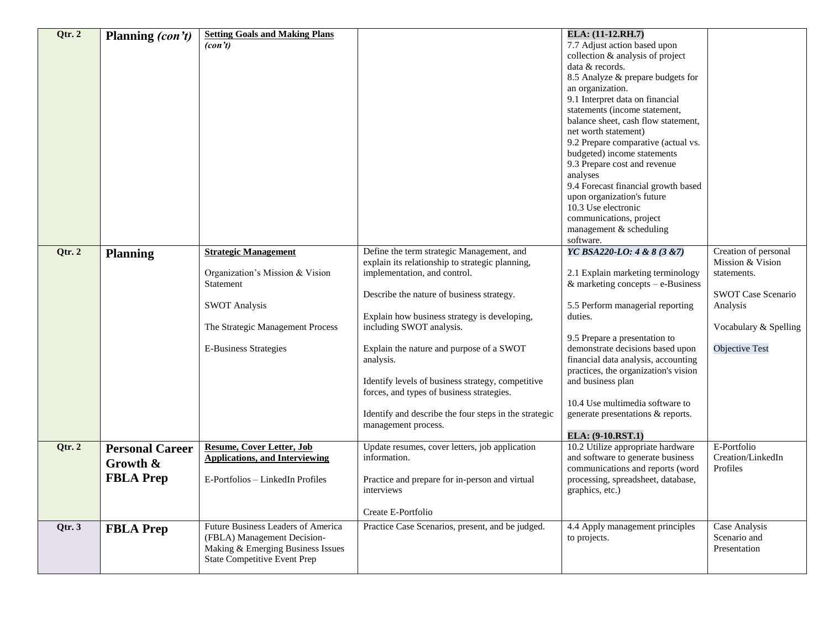| Qtr. 2   | Planning (con't)                                       | <b>Setting Goals and Making Plans</b><br>(con't)                                                                                                                        |                                                                                                                                                                                                                                                                                                                                                                                                                                                                                                  | ELA: (11-12.RH.7)<br>7.7 Adjust action based upon<br>collection & analysis of project<br>data & records.<br>8.5 Analyze & prepare budgets for<br>an organization.<br>9.1 Interpret data on financial<br>statements (income statement,<br>balance sheet, cash flow statement,<br>net worth statement)<br>9.2 Prepare comparative (actual vs.<br>budgeted) income statements<br>9.3 Prepare cost and revenue<br>analyses<br>9.4 Forecast financial growth based<br>upon organization's future<br>10.3 Use electronic<br>communications, project<br>management $&$ scheduling |                                                                                                                                                    |
|----------|--------------------------------------------------------|-------------------------------------------------------------------------------------------------------------------------------------------------------------------------|--------------------------------------------------------------------------------------------------------------------------------------------------------------------------------------------------------------------------------------------------------------------------------------------------------------------------------------------------------------------------------------------------------------------------------------------------------------------------------------------------|----------------------------------------------------------------------------------------------------------------------------------------------------------------------------------------------------------------------------------------------------------------------------------------------------------------------------------------------------------------------------------------------------------------------------------------------------------------------------------------------------------------------------------------------------------------------------|----------------------------------------------------------------------------------------------------------------------------------------------------|
| Qtr. $2$ | <b>Planning</b>                                        | <b>Strategic Management</b><br>Organization's Mission & Vision<br>Statement<br><b>SWOT Analysis</b><br>The Strategic Management Process<br><b>E-Business Strategies</b> | Define the term strategic Management, and<br>explain its relationship to strategic planning,<br>implementation, and control.<br>Describe the nature of business strategy.<br>Explain how business strategy is developing,<br>including SWOT analysis.<br>Explain the nature and purpose of a SWOT<br>analysis.<br>Identify levels of business strategy, competitive<br>forces, and types of business strategies.<br>Identify and describe the four steps in the strategic<br>management process. | software.<br>YC BSA220-LO: 4 & 8 (3 &7)<br>2.1 Explain marketing terminology<br>& marketing concepts $-$ e-Business<br>5.5 Perform managerial reporting<br>duties.<br>9.5 Prepare a presentation to<br>demonstrate decisions based upon<br>financial data analysis, accounting<br>practices, the organization's vision<br>and business plan<br>10.4 Use multimedia software to<br>generate presentations & reports.<br>ELA: (9-10.RST.1)                                                                                                                                   | Creation of personal<br>Mission & Vision<br>statements.<br><b>SWOT Case Scenario</b><br>Analysis<br>Vocabulary & Spelling<br><b>Objective Test</b> |
| Qtr. 2   | <b>Personal Career</b><br>Growth &<br><b>FBLA Prep</b> | <b>Resume, Cover Letter, Job</b><br><b>Applications, and Interviewing</b><br>E-Portfolios - LinkedIn Profiles                                                           | Update resumes, cover letters, job application<br>information.<br>Practice and prepare for in-person and virtual<br>interviews<br>Create E-Portfolio                                                                                                                                                                                                                                                                                                                                             | 10.2 Utilize appropriate hardware<br>and software to generate business<br>communications and reports (word<br>processing, spreadsheet, database,<br>graphics, etc.)                                                                                                                                                                                                                                                                                                                                                                                                        | E-Portfolio<br>Creation/LinkedIn<br>Profiles                                                                                                       |
| Qtr. 3   | <b>FBLA Prep</b>                                       | Future Business Leaders of America<br>(FBLA) Management Decision-<br>Making & Emerging Business Issues<br><b>State Competitive Event Prep</b>                           | Practice Case Scenarios, present, and be judged.                                                                                                                                                                                                                                                                                                                                                                                                                                                 | 4.4 Apply management principles<br>to projects.                                                                                                                                                                                                                                                                                                                                                                                                                                                                                                                            | Case Analysis<br>Scenario and<br>Presentation                                                                                                      |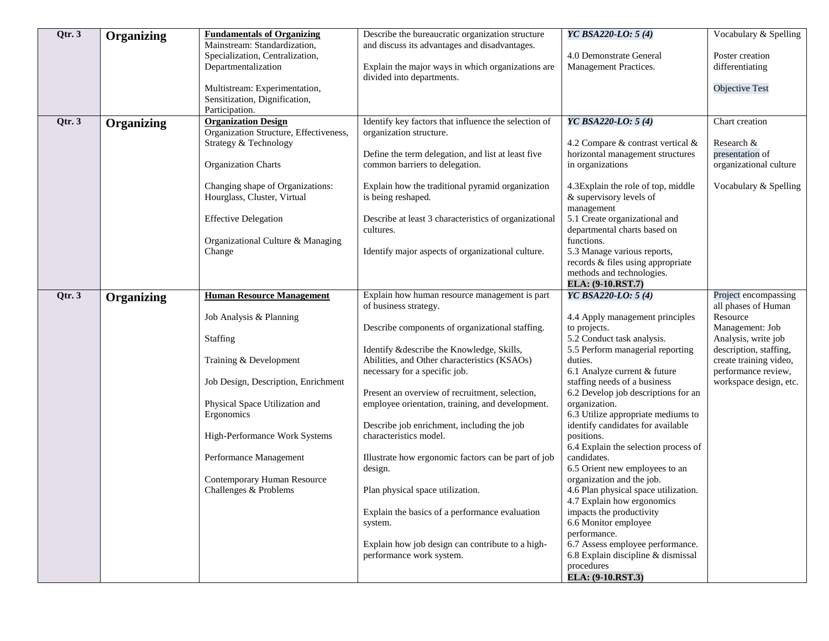| Qtr. 3 | Organizing | <b>Fundamentals of Organizing</b><br>Mainstream: Standardization,<br>Specialization, Centralization,<br>Departmentalization<br>Multistream: Experimentation,                                                                                                                                                | Describe the bureaucratic organization structure<br>and discuss its advantages and disadvantages.<br>Explain the major ways in which organizations are<br>divided into departments.                                                                                                                                                                                                                                                                                                                                                                                                                                                                                                       | YC BSA220-LO: 5 (4)<br>4.0 Demonstrate General<br>Management Practices.                                                                                                                                                                                                                                                                                                                                                                                                                                                                                                                                                                                                                                                                           | Vocabulary & Spelling<br>Poster creation<br>differentiating<br>Objective Test                                                                                                                          |
|--------|------------|-------------------------------------------------------------------------------------------------------------------------------------------------------------------------------------------------------------------------------------------------------------------------------------------------------------|-------------------------------------------------------------------------------------------------------------------------------------------------------------------------------------------------------------------------------------------------------------------------------------------------------------------------------------------------------------------------------------------------------------------------------------------------------------------------------------------------------------------------------------------------------------------------------------------------------------------------------------------------------------------------------------------|---------------------------------------------------------------------------------------------------------------------------------------------------------------------------------------------------------------------------------------------------------------------------------------------------------------------------------------------------------------------------------------------------------------------------------------------------------------------------------------------------------------------------------------------------------------------------------------------------------------------------------------------------------------------------------------------------------------------------------------------------|--------------------------------------------------------------------------------------------------------------------------------------------------------------------------------------------------------|
|        |            | Sensitization, Dignification,<br>Participation.                                                                                                                                                                                                                                                             |                                                                                                                                                                                                                                                                                                                                                                                                                                                                                                                                                                                                                                                                                           |                                                                                                                                                                                                                                                                                                                                                                                                                                                                                                                                                                                                                                                                                                                                                   |                                                                                                                                                                                                        |
| Qtr. 3 | Organizing | <b>Organization Design</b><br>Organization Structure, Effectiveness,<br>Strategy & Technology<br>Organization Charts<br>Changing shape of Organizations:<br>Hourglass, Cluster, Virtual<br><b>Effective Delegation</b><br>Organizational Culture & Managing<br>Change                                       | Identify key factors that influence the selection of<br>organization structure.<br>Define the term delegation, and list at least five<br>common barriers to delegation.<br>Explain how the traditional pyramid organization<br>is being reshaped.<br>Describe at least 3 characteristics of organizational<br>cultures.<br>Identify major aspects of organizational culture.                                                                                                                                                                                                                                                                                                              | YC BSA220-LO: 5 (4)<br>4.2 Compare & contrast vertical &<br>horizontal management structures<br>in organizations<br>4.3Explain the role of top, middle<br>& supervisory levels of<br>management<br>5.1 Create organizational and<br>departmental charts based on<br>functions.<br>5.3 Manage various reports,<br>records & files using appropriate<br>methods and technologies.<br>ELA: (9-10.RST.7)                                                                                                                                                                                                                                                                                                                                              | Chart creation<br>Research &<br>presentation of<br>organizational culture<br>Vocabulary & Spelling                                                                                                     |
| Qtr. 3 | Organizing | <b>Human Resource Management</b><br>Job Analysis & Planning<br>Staffing<br>Training & Development<br>Job Design, Description, Enrichment<br>Physical Space Utilization and<br>Ergonomics<br>High-Performance Work Systems<br>Performance Management<br>Contemporary Human Resource<br>Challenges & Problems | Explain how human resource management is part<br>of business strategy.<br>Describe components of organizational staffing.<br>Identify & describe the Knowledge, Skills,<br>Abilities, and Other characteristics (KSAOs)<br>necessary for a specific job.<br>Present an overview of recruitment, selection,<br>employee orientation, training, and development.<br>Describe job enrichment, including the job<br>characteristics model.<br>Illustrate how ergonomic factors can be part of job<br>design.<br>Plan physical space utilization.<br>Explain the basics of a performance evaluation<br>system.<br>Explain how job design can contribute to a high-<br>performance work system. | YC BSA220-LO: 5 (4)<br>4.4 Apply management principles<br>to projects.<br>5.2 Conduct task analysis.<br>5.5 Perform managerial reporting<br>duties.<br>6.1 Analyze current & future<br>staffing needs of a business<br>6.2 Develop job descriptions for an<br>organization.<br>6.3 Utilize appropriate mediums to<br>identify candidates for available<br>positions.<br>6.4 Explain the selection process of<br>candidates.<br>6.5 Orient new employees to an<br>organization and the job.<br>4.6 Plan physical space utilization.<br>4.7 Explain how ergonomics<br>impacts the productivity<br>6.6 Monitor employee<br>performance.<br>6.7 Assess employee performance.<br>6.8 Explain discipline & dismissal<br>procedures<br>ELA: (9-10.RST.3) | Project encompassing<br>all phases of Human<br>Resource<br>Management: Job<br>Analysis, write job<br>description, staffing,<br>create training video,<br>performance review,<br>workspace design, etc. |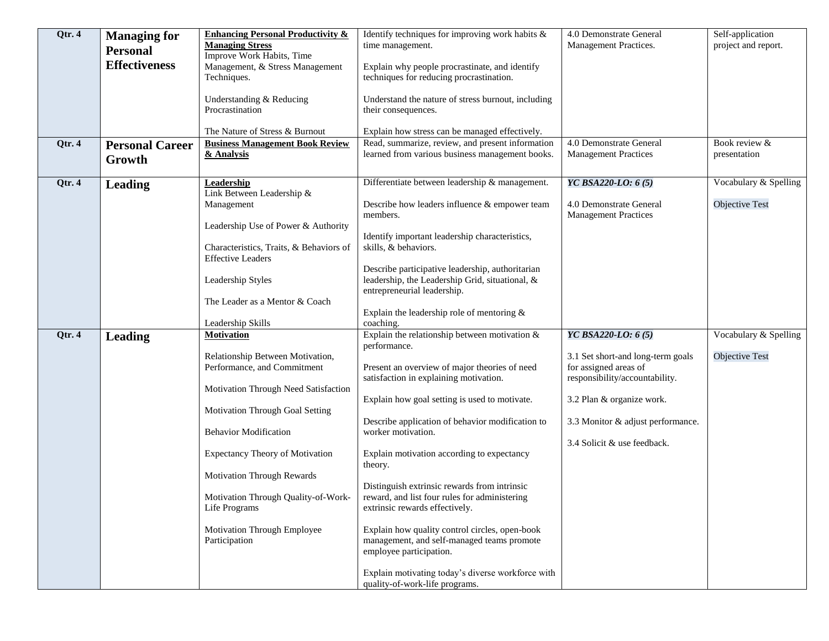| Qtr. 4 | <b>Managing for</b><br><b>Personal</b><br><b>Effectiveness</b> | <b>Enhancing Personal Productivity &amp;</b><br><b>Managing Stress</b><br>Improve Work Habits, Time<br>Management, & Stress Management                                                 | Identify techniques for improving work habits &<br>time management.<br>Explain why people procrastinate, and identify                                                                                                                                                                             | 4.0 Demonstrate General<br>Management Practices.                                                                   | Self-application<br>project and report. |
|--------|----------------------------------------------------------------|----------------------------------------------------------------------------------------------------------------------------------------------------------------------------------------|---------------------------------------------------------------------------------------------------------------------------------------------------------------------------------------------------------------------------------------------------------------------------------------------------|--------------------------------------------------------------------------------------------------------------------|-----------------------------------------|
|        |                                                                | Techniques.<br>Understanding & Reducing<br>Procrastination<br>The Nature of Stress & Burnout                                                                                           | techniques for reducing procrastination.<br>Understand the nature of stress burnout, including<br>their consequences.<br>Explain how stress can be managed effectively.                                                                                                                           |                                                                                                                    |                                         |
| Qtr. 4 | <b>Personal Career</b><br>Growth                               | <b>Business Management Book Review</b><br>& Analysis                                                                                                                                   | Read, summarize, review, and present information<br>learned from various business management books.                                                                                                                                                                                               | 4.0 Demonstrate General<br><b>Management Practices</b>                                                             | Book review &<br>presentation           |
| Qtr. 4 | <b>Leading</b>                                                 | Leadership<br>Link Between Leadership &<br>Management<br>Leadership Use of Power & Authority                                                                                           | Differentiate between leadership & management.<br>Describe how leaders influence & empower team<br>members.<br>Identify important leadership characteristics,                                                                                                                                     | YC BSA220-LO: 6(5)<br>4.0 Demonstrate General<br><b>Management Practices</b>                                       | Vocabulary & Spelling<br>Objective Test |
|        |                                                                | Characteristics, Traits, & Behaviors of<br><b>Effective Leaders</b><br>Leadership Styles<br>The Leader as a Mentor & Coach                                                             | skills, & behaviors.<br>Describe participative leadership, authoritarian<br>leadership, the Leadership Grid, situational, &<br>entrepreneurial leadership.                                                                                                                                        |                                                                                                                    |                                         |
|        |                                                                | Leadership Skills                                                                                                                                                                      | Explain the leadership role of mentoring $\&$<br>coaching.                                                                                                                                                                                                                                        |                                                                                                                    |                                         |
| Qtr. 4 | <b>Leading</b>                                                 | Motivation<br>Relationship Between Motivation,<br>Performance, and Commitment                                                                                                          | Explain the relationship between motivation $\&$<br>performance.<br>Present an overview of major theories of need<br>satisfaction in explaining motivation.                                                                                                                                       | YC BSA220-LO: 6(5)<br>3.1 Set short-and long-term goals<br>for assigned areas of<br>responsibility/accountability. | Vocabulary & Spelling<br>Objective Test |
|        |                                                                | Motivation Through Need Satisfaction<br>Motivation Through Goal Setting<br><b>Behavior Modification</b><br><b>Expectancy Theory of Motivation</b><br><b>Motivation Through Rewards</b> | Explain how goal setting is used to motivate.<br>Describe application of behavior modification to<br>worker motivation.<br>Explain motivation according to expectancy<br>theory.<br>Distinguish extrinsic rewards from intrinsic                                                                  | 3.2 Plan & organize work.<br>3.3 Monitor & adjust performance.<br>3.4 Solicit & use feedback.                      |                                         |
|        |                                                                | Motivation Through Quality-of-Work-<br>Life Programs<br>Motivation Through Employee<br>Participation                                                                                   | reward, and list four rules for administering<br>extrinsic rewards effectively.<br>Explain how quality control circles, open-book<br>management, and self-managed teams promote<br>employee participation.<br>Explain motivating today's diverse workforce with<br>quality-of-work-life programs. |                                                                                                                    |                                         |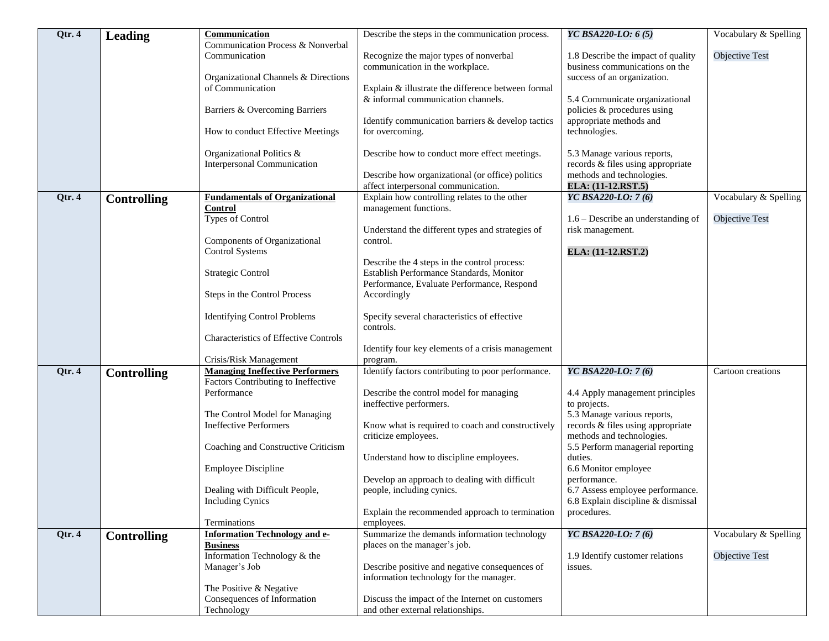| Qtr. 4 | Leading            | Communication                                                   | Describe the steps in the communication process.                                          | YC BSA220-LO: 6(5)                                                     | Vocabulary & Spelling |
|--------|--------------------|-----------------------------------------------------------------|-------------------------------------------------------------------------------------------|------------------------------------------------------------------------|-----------------------|
|        |                    | Communication Process & Nonverbal<br>Communication              | Recognize the major types of nonverbal                                                    | 1.8 Describe the impact of quality                                     | <b>Objective Test</b> |
|        |                    |                                                                 | communication in the workplace.                                                           | business communications on the                                         |                       |
|        |                    | Organizational Channels & Directions<br>of Communication        | Explain & illustrate the difference between formal                                        | success of an organization.                                            |                       |
|        |                    |                                                                 | & informal communication channels.                                                        | 5.4 Communicate organizational                                         |                       |
|        |                    | Barriers & Overcoming Barriers                                  |                                                                                           | policies & procedures using                                            |                       |
|        |                    | How to conduct Effective Meetings                               | Identify communication barriers & develop tactics<br>for overcoming.                      | appropriate methods and<br>technologies.                               |                       |
|        |                    |                                                                 |                                                                                           |                                                                        |                       |
|        |                    | Organizational Politics &<br><b>Interpersonal Communication</b> | Describe how to conduct more effect meetings.                                             | 5.3 Manage various reports,<br>records & files using appropriate       |                       |
|        |                    |                                                                 | Describe how organizational (or office) politics                                          | methods and technologies.                                              |                       |
|        |                    |                                                                 | affect interpersonal communication.                                                       | ELA: (11-12.RST.5)                                                     |                       |
| Qtr. 4 | <b>Controlling</b> | <b>Fundamentals of Organizational</b><br><b>Control</b>         | Explain how controlling relates to the other<br>management functions.                     | YC BSA220-LO: 7(6)                                                     | Vocabulary & Spelling |
|        |                    | Types of Control                                                |                                                                                           | $1.6$ – Describe an understanding of                                   | Objective Test        |
|        |                    |                                                                 | Understand the different types and strategies of                                          | risk management.                                                       |                       |
|        |                    | Components of Organizational<br><b>Control Systems</b>          | control.                                                                                  | ELA: (11-12.RST.2)                                                     |                       |
|        |                    |                                                                 | Describe the 4 steps in the control process:                                              |                                                                        |                       |
|        |                    | <b>Strategic Control</b>                                        | Establish Performance Standards, Monitor<br>Performance, Evaluate Performance, Respond    |                                                                        |                       |
|        |                    | Steps in the Control Process                                    | Accordingly                                                                               |                                                                        |                       |
|        |                    | <b>Identifying Control Problems</b>                             | Specify several characteristics of effective                                              |                                                                        |                       |
|        |                    |                                                                 | controls.                                                                                 |                                                                        |                       |
|        |                    | <b>Characteristics of Effective Controls</b>                    |                                                                                           |                                                                        |                       |
|        |                    | Crisis/Risk Management                                          | Identify four key elements of a crisis management<br>program.                             |                                                                        |                       |
| Qtr. 4 | <b>Controlling</b> | <b>Managing Ineffective Performers</b>                          | Identify factors contributing to poor performance.                                        | YC BSA220-LO: 7(6)                                                     | Cartoon creations     |
|        |                    | Factors Contributing to Ineffective<br>Performance              | Describe the control model for managing                                                   | 4.4 Apply management principles                                        |                       |
|        |                    |                                                                 | ineffective performers.                                                                   | to projects.                                                           |                       |
|        |                    | The Control Model for Managing<br><b>Ineffective Performers</b> | Know what is required to coach and constructively                                         | 5.3 Manage various reports,<br>records & files using appropriate       |                       |
|        |                    |                                                                 | criticize employees.                                                                      | methods and technologies.                                              |                       |
|        |                    | Coaching and Constructive Criticism                             |                                                                                           | 5.5 Perform managerial reporting                                       |                       |
|        |                    | <b>Employee Discipline</b>                                      | Understand how to discipline employees.                                                   | duties.<br>6.6 Monitor employee                                        |                       |
|        |                    |                                                                 | Develop an approach to dealing with difficult                                             | performance.                                                           |                       |
|        |                    | Dealing with Difficult People,<br><b>Including Cynics</b>       | people, including cynics.                                                                 | 6.7 Assess employee performance.<br>6.8 Explain discipline & dismissal |                       |
|        |                    |                                                                 | Explain the recommended approach to termination                                           | procedures.                                                            |                       |
|        |                    | Terminations                                                    | employees.                                                                                |                                                                        |                       |
| Qtr. 4 | <b>Controlling</b> | <b>Information Technology and e-</b><br><b>Business</b>         | Summarize the demands information technology<br>places on the manager's job.              | YC BSA220-LO: 7(6)                                                     | Vocabulary & Spelling |
|        |                    | Information Technology & the                                    |                                                                                           | 1.9 Identify customer relations                                        | <b>Objective Test</b> |
|        |                    | Manager's Job                                                   | Describe positive and negative consequences of<br>information technology for the manager. | issues.                                                                |                       |
|        |                    | The Positive & Negative                                         |                                                                                           |                                                                        |                       |
|        |                    | Consequences of Information<br>Technology                       | Discuss the impact of the Internet on customers<br>and other external relationships.      |                                                                        |                       |